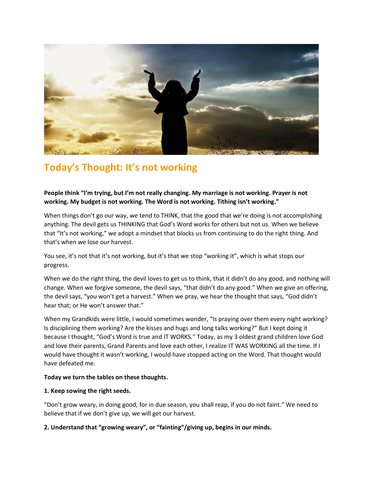

# **Today's Thought: It's not working**

**People think "I'm trying, but I'm not really changing. My marriage is not working. Prayer is not working. My budget is not working. The Word is not working. Tithing isn't working."**

When things don't go our way, we tend to THINK, that the good that we're doing is not accomplishing anything. The devil gets us THINKING that God's Word works for others but not us. When we believe that "It's not working," we adopt a mindset that blocks us from continuing to do the right thing. And that's when we lose our harvest.

You see, it's not that it's not working, but it's that we stop "working it", which is what stops our progress.

When we do the right thing, the devil loves to get us to think, that it didn't do any good, and nothing will change. When we forgive someone, the devil says, "that didn't do any good." When we give an offering, the devil says, "you won't get a harvest." When we pray, we hear the thought that says, "God didn't hear that; or He won't answer that."

When my Grandkids were little, I would sometimes wonder, "Is praying over them every night working? Is disciplining them working? Are the kisses and hugs and long talks working?" But I kept doing it because I thought, "God's Word is true and IT WORKS." Today, as my 3 oldest grand children love God and love their parents, Grand Parents and love each other, I realize IT WAS WORKING all the time. If I would have thought it wasn't working, I would have stopped acting on the Word. That thought would have defeated me.

## **Today we turn the tables on these thoughts.**

## **1. Keep sowing the right seeds.**

"Don't grow weary, in doing good, for in due season, you shall reap, if you do not faint." We need to believe that if we don't give up, we will get our harvest.

# **2. Understand that "growing weary", or "fainting"/giving up, begins in our minds.**